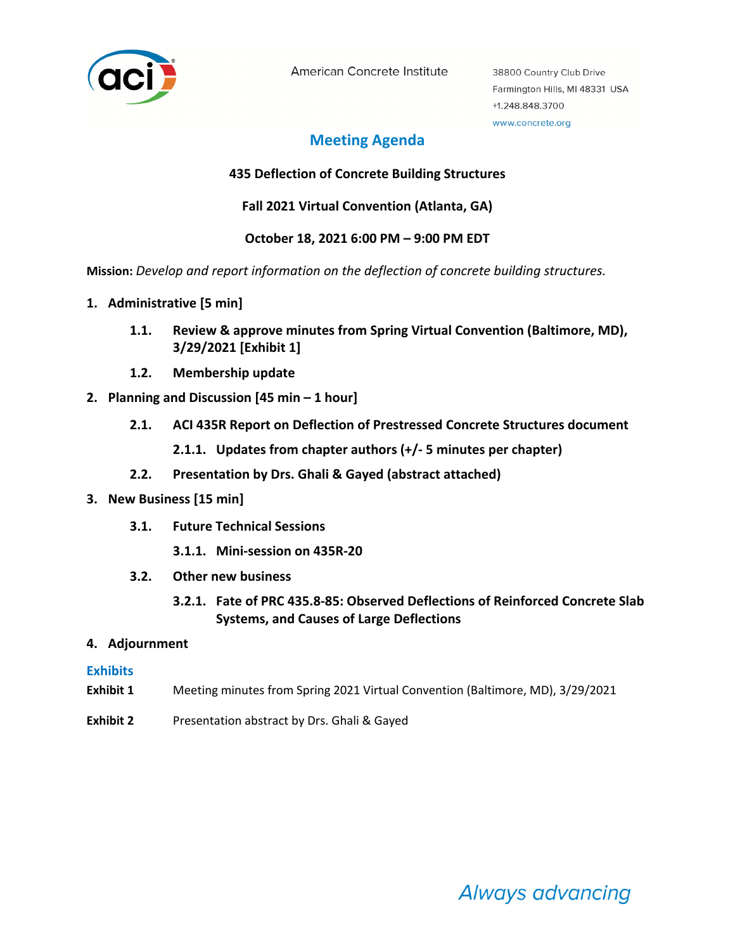

American Concrete Institute

38800 Country Club Drive Farmington Hills, MI 48331 USA +1.248.848.3700 www.concrete.org

### **Meeting Agenda**

### **435 Deflection of Concrete Building Structures**

### **Fall 2021 Virtual Convention (Atlanta, GA)**

### **October 18, 2021 6:00 PM – 9:00 PM EDT**

**Mission:** *Develop and report information on the deflection of concrete building structures.*

- **1. Administrative [5 min]**
	- **1.1. Review & approve minutes from Spring Virtual Convention (Baltimore, MD), 3/29/2021 [Exhibit 1]**
	- **1.2. Membership update**
- **2. Planning and Discussion [45 min – 1 hour]**
	- **2.1. ACI 435R Report on Deflection of Prestressed Concrete Structures document**
		- **2.1.1. Updates from chapter authors (+/- 5 minutes per chapter)**
	- **2.2. Presentation by Drs. Ghali & Gayed (abstract attached)**

### **3. New Business [15 min]**

- **3.1. Future Technical Sessions**
	- **3.1.1. Mini-session on 435R-20**
- **3.2. Other new business**
	- **3.2.1. Fate of PRC 435.8-85: Observed Deflections of Reinforced Concrete Slab Systems, and Causes of Large Deflections**

### **4. Adjournment**

### **Exhibits**

- **Exhibit 1** Meeting minutes from Spring 2021 Virtual Convention (Baltimore, MD), 3/29/2021
- **Exhibit 2** Presentation abstract by Drs. Ghali & Gayed

**Always advancing**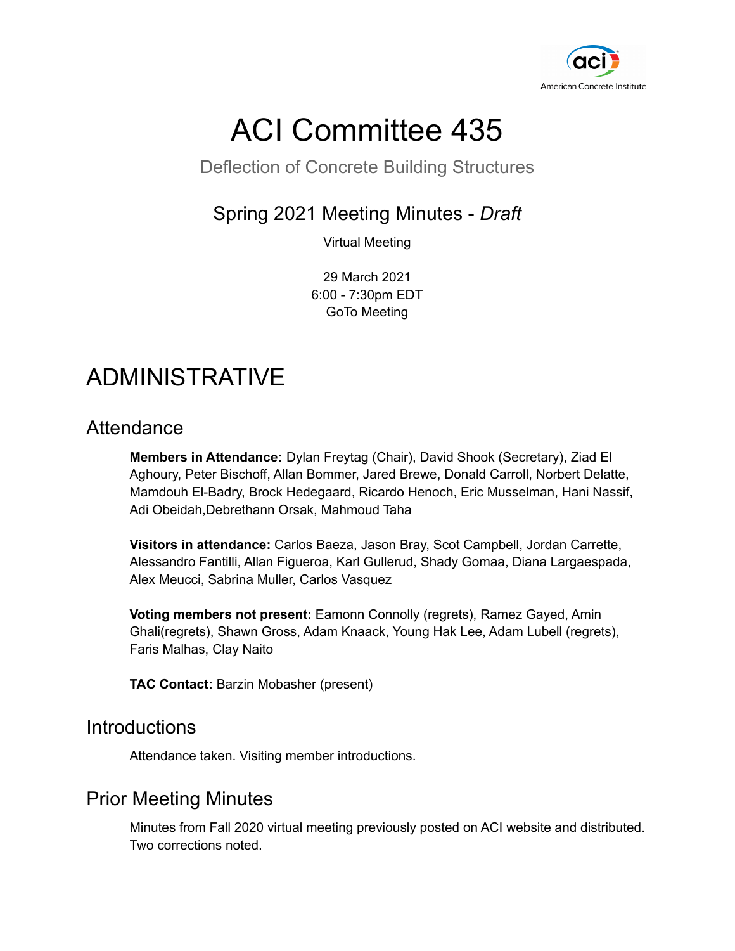

# **ACI Committee 435**

Deflection of Concrete Building Structures

# Spring 2021 Meeting Minutes - Draft

**Virtual Meeting** 

29 March 2021 6:00 - 7:30pm EDT **GoTo Meeting** 

# **ADMINISTRATIVE**

### Attendance

Members in Attendance: Dylan Freytag (Chair), David Shook (Secretary), Ziad El Aghoury, Peter Bischoff, Allan Bommer, Jared Brewe, Donald Carroll, Norbert Delatte, Mamdouh El-Badry, Brock Hedegaard, Ricardo Henoch, Eric Musselman, Hani Nassif, Adi Obeidah, Debrethann Orsak, Mahmoud Taha

Visitors in attendance: Carlos Baeza, Jason Bray, Scot Campbell, Jordan Carrette, Alessandro Fantilli, Allan Figueroa, Karl Gullerud, Shady Gomaa, Diana Largaespada, Alex Meucci, Sabrina Muller, Carlos Vasquez

Voting members not present: Eamonn Connolly (regrets), Ramez Gayed, Amin Ghali(regrets), Shawn Gross, Adam Knaack, Young Hak Lee, Adam Lubell (regrets), Faris Malhas, Clay Naito

**TAC Contact: Barzin Mobasher (present)** 

### **Introductions**

Attendance taken. Visiting member introductions.

### **Prior Meeting Minutes**

Minutes from Fall 2020 virtual meeting previously posted on ACI website and distributed. Two corrections noted.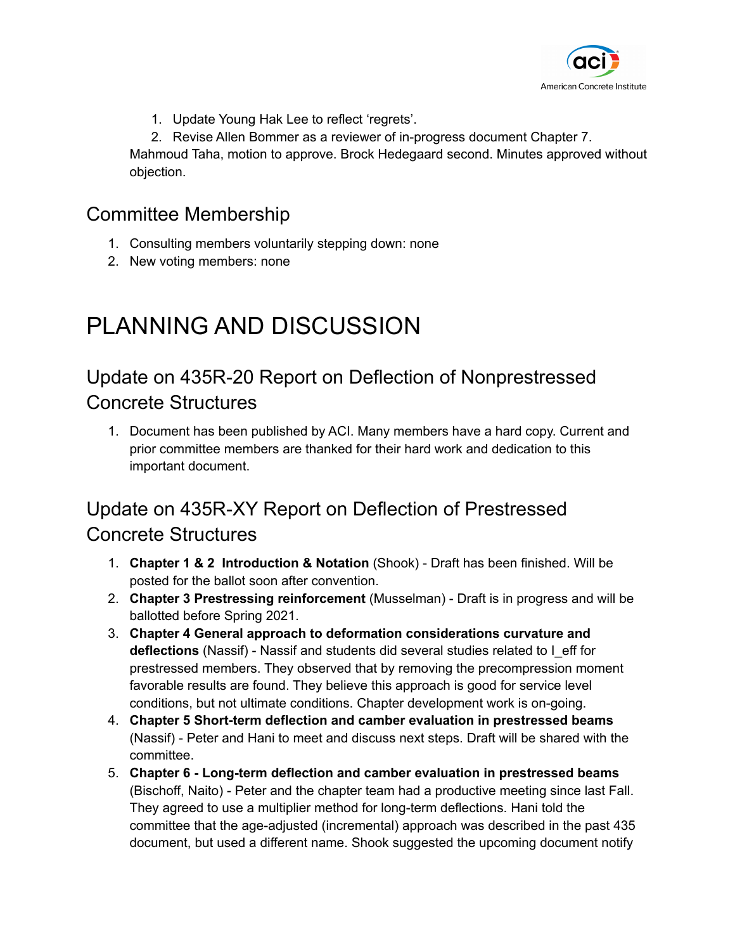

- 1. Update Young Hak Lee to reflect 'regrets'.
- 2. Revise Allen Bommer as a reviewer of in-progress document Chapter 7.

Mahmoud Taha, motion to approve. Brock Hedegaard second. Minutes approved without objection.

### **Committee Membership**

- 1. Consulting members voluntarily stepping down: none
- 2. New voting members: none

# **PLANNING AND DISCUSSION**

# Update on 435R-20 Report on Deflection of Nonprestressed **Concrete Structures**

1. Document has been published by ACI. Many members have a hard copy. Current and prior committee members are thanked for their hard work and dedication to this important document.

## Update on 435R-XY Report on Deflection of Prestressed **Concrete Structures**

- 1. Chapter 1 & 2 Introduction & Notation (Shook) Draft has been finished. Will be posted for the ballot soon after convention.
- 2. Chapter 3 Prestressing reinforcement (Musselman) Draft is in progress and will be ballotted before Spring 2021.
- 3. Chapter 4 General approach to deformation considerations curvature and deflections (Nassif) - Nassif and students did several studies related to I eff for prestressed members. They observed that by removing the precompression moment favorable results are found. They believe this approach is good for service level conditions, but not ultimate conditions. Chapter development work is on-going.
- 4. Chapter 5 Short-term deflection and camber evaluation in prestressed beams (Nassif) - Peter and Hani to meet and discuss next steps. Draft will be shared with the committee.
- 5. Chapter 6 Long-term deflection and camber evaluation in prestressed beams (Bischoff, Naito) - Peter and the chapter team had a productive meeting since last Fall. They agreed to use a multiplier method for long-term deflections. Hani told the committee that the age-adjusted (incremental) approach was described in the past 435 document, but used a different name. Shook suggested the upcoming document notify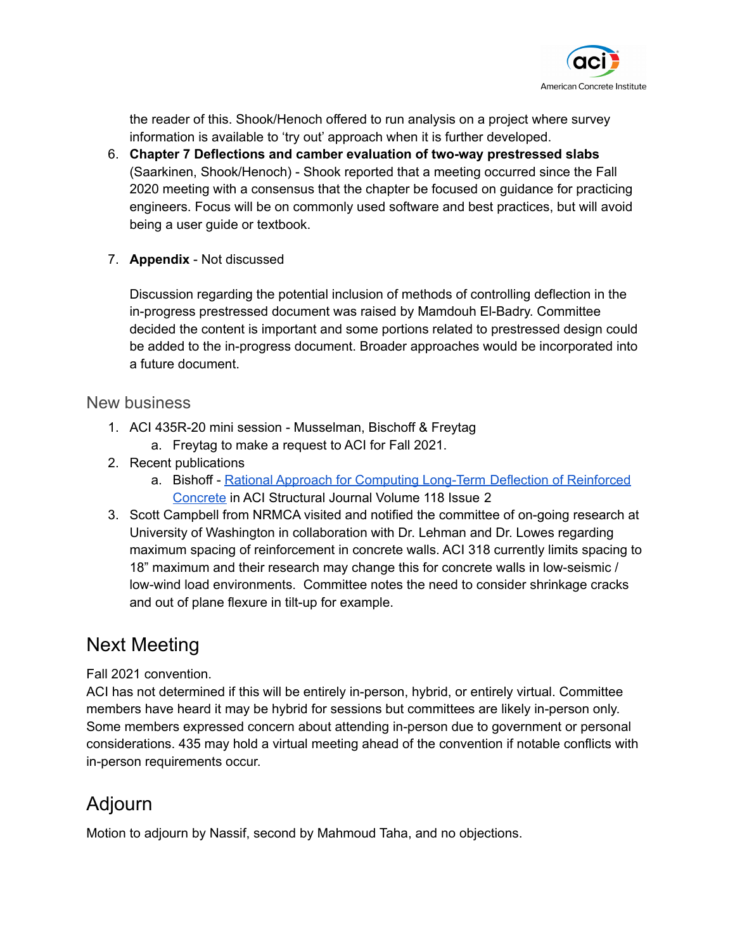

the reader of this. Shook/Henoch offered to run analysis on a project where survey information is available to 'try out' approach when it is further developed.

- 6. Chapter 7 Deflections and camber evaluation of two-way prestressed slabs (Saarkinen, Shook/Henoch) - Shook reported that a meeting occurred since the Fall 2020 meeting with a consensus that the chapter be focused on guidance for practicing engineers. Focus will be on commonly used software and best practices, but will avoid being a user guide or textbook.
- 7. Appendix Not discussed

Discussion regarding the potential inclusion of methods of controlling deflection in the in-progress prestressed document was raised by Mamdouh El-Badry. Committee decided the content is important and some portions related to prestressed design could be added to the in-progress document. Broader approaches would be incorporated into a future document.

### New business

- 1. ACI 435R-20 mini session Musselman, Bischoff & Freytag
	- a. Freytag to make a request to ACI for Fall 2021.
- 2. Recent publications
	- a. Bishoff Rational Approach for Computing Long-Term Deflection of Reinforced Concrete in ACI Structural Journal Volume 118 Issue 2
- 3. Scott Campbell from NRMCA visited and notified the committee of on-going research at University of Washington in collaboration with Dr. Lehman and Dr. Lowes regarding maximum spacing of reinforcement in concrete walls. ACI 318 currently limits spacing to 18" maximum and their research may change this for concrete walls in low-seismic / low-wind load environments. Committee notes the need to consider shrinkage cracks and out of plane flexure in tilt-up for example.

### **Next Meeting**

### Fall 2021 convention.

ACI has not determined if this will be entirely in-person, hybrid, or entirely virtual. Committee members have heard it may be hybrid for sessions but committees are likely in-person only. Some members expressed concern about attending in-person due to government or personal considerations. 435 may hold a virtual meeting ahead of the convention if notable conflicts with in-person requirements occur.

# Adjourn

Motion to adjourn by Nassif, second by Mahmoud Taha, and no objections.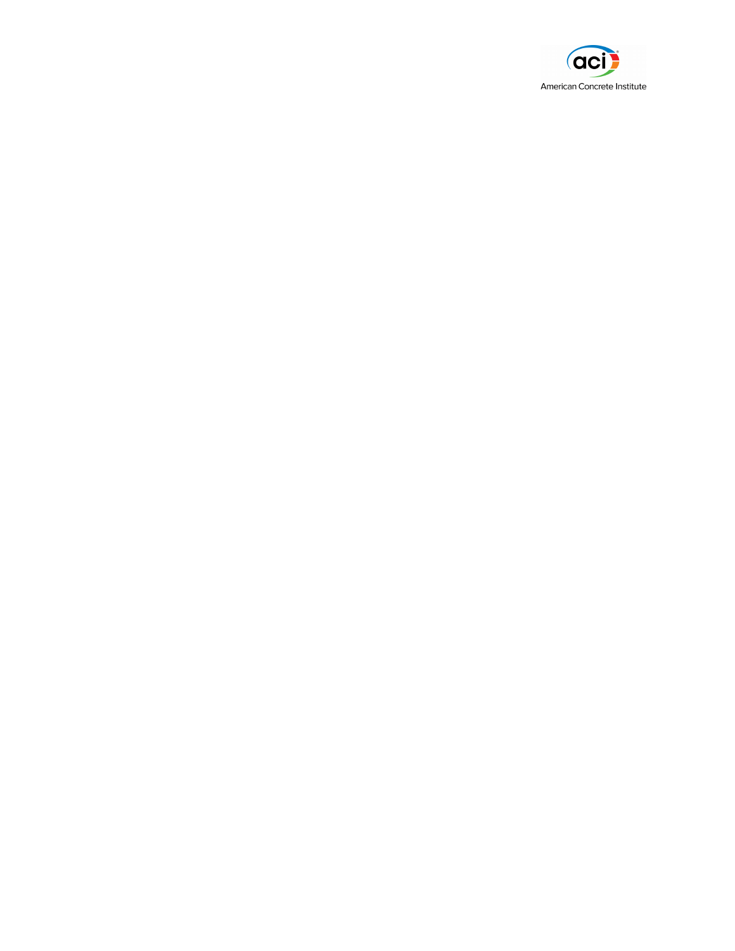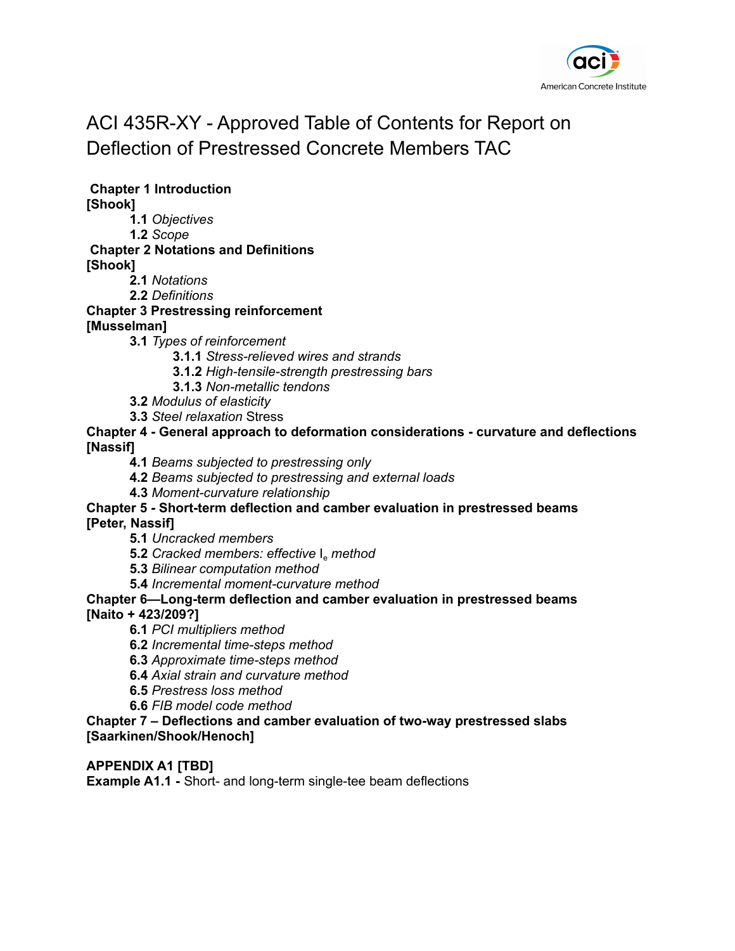

# ACI 435R-XY - Approved Table of Contents for Report on Deflection of Prestressed Concrete Members TAC

**Chapter 1 Introduction** 

[Shook]

- 1.1 Objectives
- 1.2 Scope

**Chapter 2 Notations and Definitions** [Shook]

- 2.1 Notations
- 2.2 Definitions

### **Chapter 3 Prestressing reinforcement**

### [Musselman]

- 3.1 Types of reinforcement
	- 3.1.1 Stress-relieved wires and strands
	- 3.1.2 High-tensile-strength prestressing bars
	- 3.1.3 Non-metallic tendons
- 3.2 Modulus of elasticity
- 3.3 Steel relaxation Stress

#### Chapter 4 - General approach to deformation considerations - curvature and deflections [Nassif]

- 4.1 Beams subjected to prestressing only
- 4.2 Beams subjected to prestressing and external loads
- 4.3 Moment-curvature relationship

#### Chapter 5 - Short-term deflection and camber evaluation in prestressed beams **[Peter, Nassif]**

**5.1 Uncracked members** 

- 5.2 Cracked members: effective I. method
- 5.3 Bilinear computation method
- 5.4 Incremental moment-curvature method

#### Chapter 6—Long-term deflection and camber evaluation in prestressed beams [Naito + 423/209?]

6.1 PCI multipliers method

- 6.2 Incremental time-steps method
- 6.3 Approximate time-steps method
- 6.4 Axial strain and curvature method
- **6.5 Prestress loss method**
- 6.6 FIB model code method

#### Chapter 7 – Deflections and camber evaluation of two-way prestressed slabs [Saarkinen/Shook/Henoch]

**APPENDIX A1 [TBD]** 

**Example A1.1 - Short- and long-term single-tee beam deflections**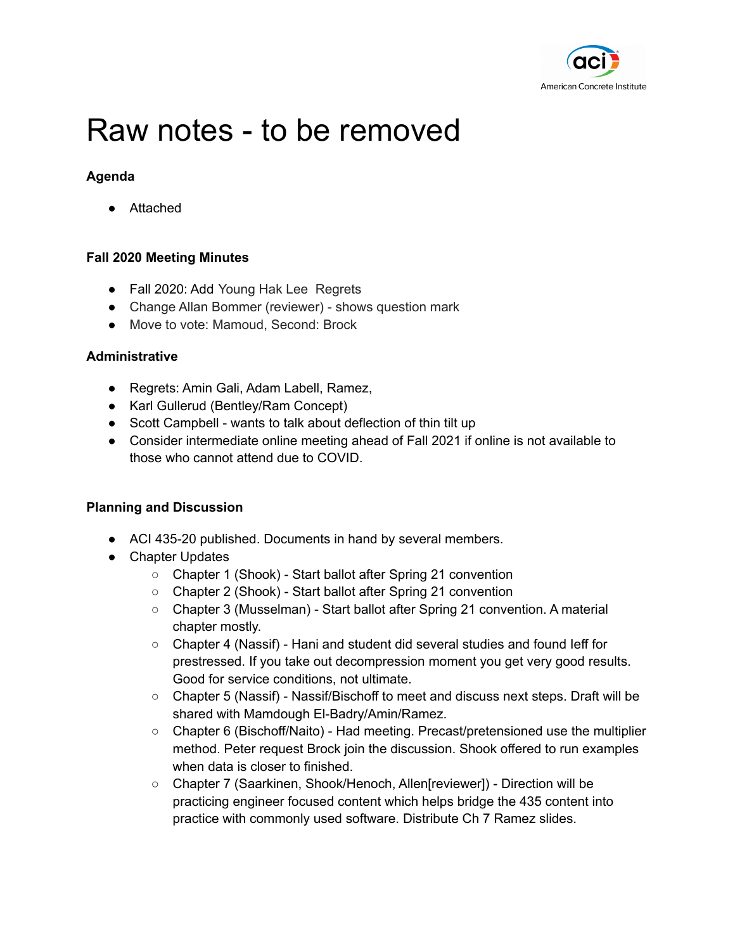

# Raw notes - to be removed

### Agenda

• Attached

### **Fall 2020 Meeting Minutes**

- Fall 2020: Add Young Hak Lee Regrets
- Change Allan Bommer (reviewer) shows question mark
- Move to vote: Mamoud, Second: Brock

### **Administrative**

- Regrets: Amin Gali, Adam Labell, Ramez,
- Karl Gullerud (Bentley/Ram Concept)
- Scott Campbell wants to talk about deflection of thin tilt up
- Consider intermediate online meeting ahead of Fall 2021 if online is not available to those who cannot attend due to COVID.

### **Planning and Discussion**

- ACI 435-20 published. Documents in hand by several members.
- Chapter Updates
	- Chapter 1 (Shook) Start ballot after Spring 21 convention
	- Chapter 2 (Shook) Start ballot after Spring 21 convention
	- Chapter 3 (Musselman) Start ballot after Spring 21 convention. A material chapter mostly.
	- $\circ$  Chapter 4 (Nassif) Hani and student did several studies and found leff for prestressed. If you take out decompression moment you get very good results. Good for service conditions, not ultimate.
	- $\circ$  Chapter 5 (Nassif) Nassif/Bischoff to meet and discuss next steps. Draft will be shared with Mamdough El-Badry/Amin/Ramez.
	- $\circ$  Chapter 6 (Bischoff/Naito) Had meeting. Precast/pretensioned use the multiplier method. Peter request Brock join the discussion. Shook offered to run examples when data is closer to finished.
	- Chapter 7 (Saarkinen, Shook/Henoch, Allen[reviewer]) Direction will be practicing engineer focused content which helps bridge the 435 content into practice with commonly used software. Distribute Ch 7 Ramez slides.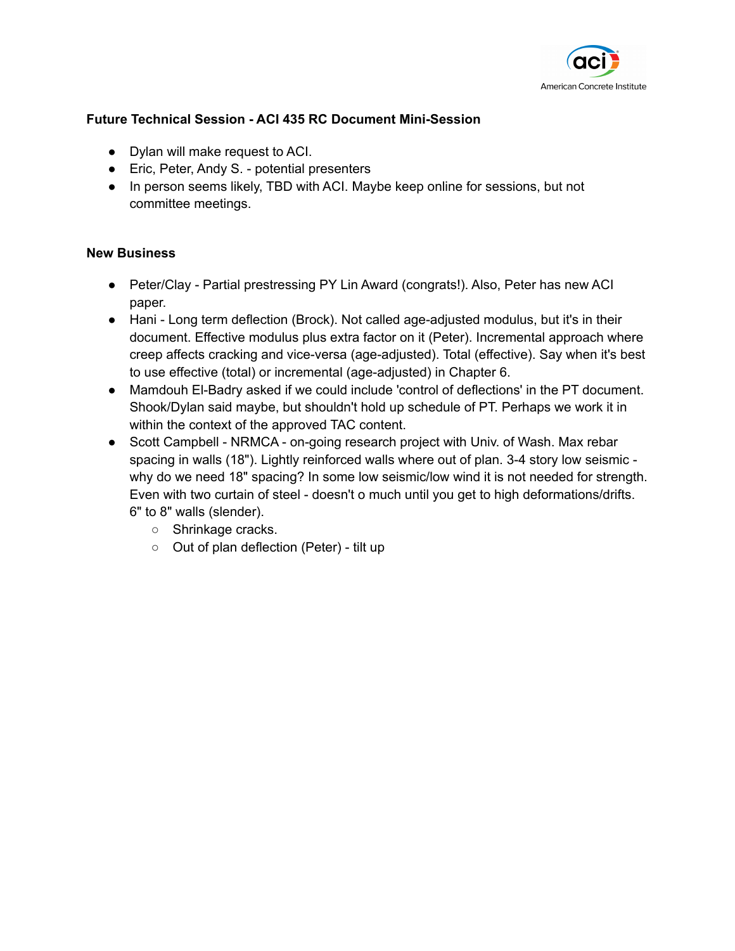

### **Future Technical Session - ACI 435 RC Document Mini-Session**

- Dylan will make request to ACI.
- Eric, Peter, Andy S. potential presenters
- In person seems likely, TBD with ACI. Maybe keep online for sessions, but not committee meetings.

### **New Business**

- Peter/Clay Partial prestressing PY Lin Award (congrats!). Also, Peter has new ACI paper.
- Hani Long term deflection (Brock). Not called age-adjusted modulus, but it's in their document. Effective modulus plus extra factor on it (Peter). Incremental approach where creep affects cracking and vice-versa (age-adjusted). Total (effective). Say when it's best to use effective (total) or incremental (age-adjusted) in Chapter 6.
- Mamdouh El-Badry asked if we could include 'control of deflections' in the PT document. Shook/Dylan said maybe, but shouldn't hold up schedule of PT. Perhaps we work it in within the context of the approved TAC content.
- Scott Campbell NRMCA on-going research project with Univ. of Wash. Max rebar spacing in walls (18"). Lightly reinforced walls where out of plan. 3-4 story low seismic why do we need 18" spacing? In some low seismic/low wind it is not needed for strength. Even with two curtain of steel - doesn't o much until you get to high deformations/drifts. 6" to 8" walls (slender).
	- o Shrinkage cracks.
	- Out of plan deflection (Peter) tilt up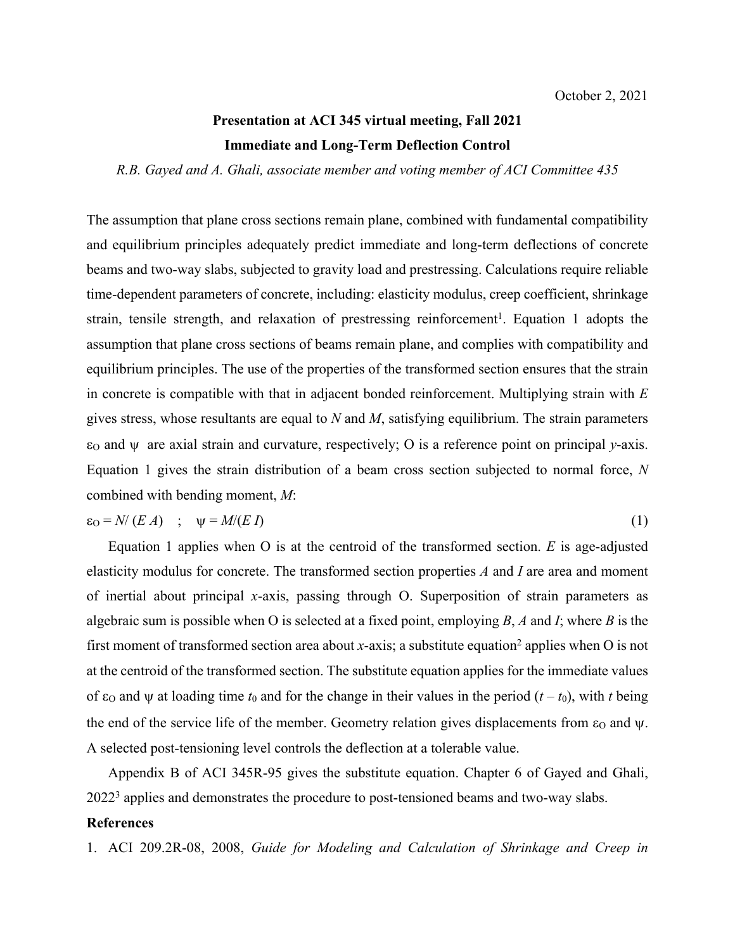### **Presentation at ACI 345 virtual meeting, Fall 2021 Immediate and Long-Term Deflection Control**

*R.B. Gayed and A. Ghali, associate member and voting member of ACI Committee 435*

The assumption that plane cross sections remain plane, combined with fundamental compatibility and equilibrium principles adequately predict immediate and long-term deflections of concrete beams and two-way slabs, subjected to gravity load and prestressing. Calculations require reliable time-dependent parameters of concrete, including: elasticity modulus, creep coefficient, shrinkage strain, tensile strength, and relaxation of prestressing reinforcement<sup>1</sup>. Equation 1 adopts the assumption that plane cross sections of beams remain plane, and complies with compatibility and equilibrium principles. The use of the properties of the transformed section ensures that the strain in concrete is compatible with that in adjacent bonded reinforcement. Multiplying strain with *E* gives stress, whose resultants are equal to *N* and *M*, satisfying equilibrium. The strain parameters  $\varepsilon_0$  and  $\psi$  are axial strain and curvature, respectively; O is a reference point on principal *y*-axis. Equation 1 gives the strain distribution of a beam cross section subjected to normal force, *N* combined with bending moment, *M*:

$$
\varepsilon_0 = N/(EA) \quad ; \quad \psi = M/(E I) \tag{1}
$$

Equation 1 applies when O is at the centroid of the transformed section. *E* is age-adjusted elasticity modulus for concrete. The transformed section properties *A* and *I* are area and moment of inertial about principal *x*-axis, passing through O. Superposition of strain parameters as algebraic sum is possible when O is selected at a fixed point, employing *B*, *A* and *I*; where *B* is the first moment of transformed section area about *x*-axis; a substitute equation<sup>2</sup> applies when O is not at the centroid of the transformed section. The substitute equation applies for the immediate values of  $\varepsilon_0$  and  $\psi$  at loading time  $t_0$  and for the change in their values in the period  $(t - t_0)$ , with  $t$  being the end of the service life of the member. Geometry relation gives displacements from  $\varepsilon_0$  and  $\psi$ . A selected post-tensioning level controls the deflection at a tolerable value.

Appendix B of ACI 345R-95 gives the substitute equation. Chapter 6 of Gayed and Ghali, 2022<sup>3</sup> applies and demonstrates the procedure to post-tensioned beams and two-way slabs.

#### **References**

1. ACI 209.2R-08, 2008, *Guide for Modeling and Calculation of Shrinkage and Creep in*